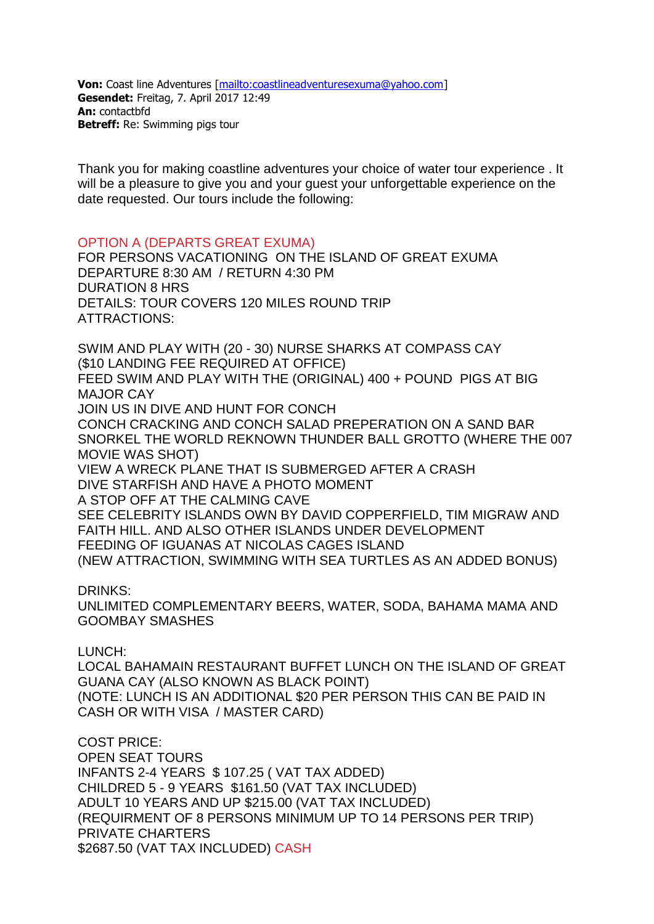**Von:** Coast line Adventures [\[mailto:coastlineadventuresexuma@yahoo.com\]](mailto:coastlineadventuresexuma@yahoo.com) **Gesendet:** Freitag, 7. April 2017 12:49 **An:** contactbfd **Betreff:** Re: Swimming pigs tour

Thank you for making coastline adventures your choice of water tour experience . It will be a pleasure to give you and your guest your unforgettable experience on the date requested. Our tours include the following:

## OPTION A (DEPARTS GREAT EXUMA)

FOR PERSONS VACATIONING ON THE ISLAND OF GREAT EXUMA DEPARTURE 8:30 AM / RETURN 4:30 PM DURATION 8 HRS DETAILS: TOUR COVERS 120 MILES ROUND TRIP ATTRACTIONS:

SWIM AND PLAY WITH (20 - 30) NURSE SHARKS AT COMPASS CAY (\$10 LANDING FEE REQUIRED AT OFFICE) FEED SWIM AND PLAY WITH THE (ORIGINAL) 400 + POUND PIGS AT BIG MAJOR CAY JOIN US IN DIVE AND HUNT FOR CONCH CONCH CRACKING AND CONCH SALAD PREPERATION ON A SAND BAR SNORKEL THE WORLD REKNOWN THUNDER BALL GROTTO (WHERE THE 007 MOVIE WAS SHOT) VIEW A WRECK PLANE THAT IS SUBMERGED AFTER A CRASH DIVE STARFISH AND HAVE A PHOTO MOMENT A STOP OFF AT THE CALMING CAVE SEE CELEBRITY ISLANDS OWN BY DAVID COPPERFIELD, TIM MIGRAW AND FAITH HILL. AND ALSO OTHER ISLANDS UNDER DEVELOPMENT FEEDING OF IGUANAS AT NICOLAS CAGES ISLAND (NEW ATTRACTION, SWIMMING WITH SEA TURTLES AS AN ADDED BONUS)

## DRINKS:

UNLIMITED COMPLEMENTARY BEERS, WATER, SODA, BAHAMA MAMA AND GOOMBAY SMASHES

## LUNCH:

LOCAL BAHAMAIN RESTAURANT BUFFET LUNCH ON THE ISLAND OF GREAT GUANA CAY (ALSO KNOWN AS BLACK POINT) (NOTE: LUNCH IS AN ADDITIONAL \$20 PER PERSON THIS CAN BE PAID IN CASH OR WITH VISA / MASTER CARD)

COST PRICE: OPEN SEAT TOURS INFANTS 2-4 YEARS \$ 107.25 ( VAT TAX ADDED) CHILDRED 5 - 9 YEARS \$161.50 (VAT TAX INCLUDED) ADULT 10 YEARS AND UP \$215.00 (VAT TAX INCLUDED) (REQUIRMENT OF 8 PERSONS MINIMUM UP TO 14 PERSONS PER TRIP) PRIVATE CHARTERS \$2687.50 (VAT TAX INCLUDED) CASH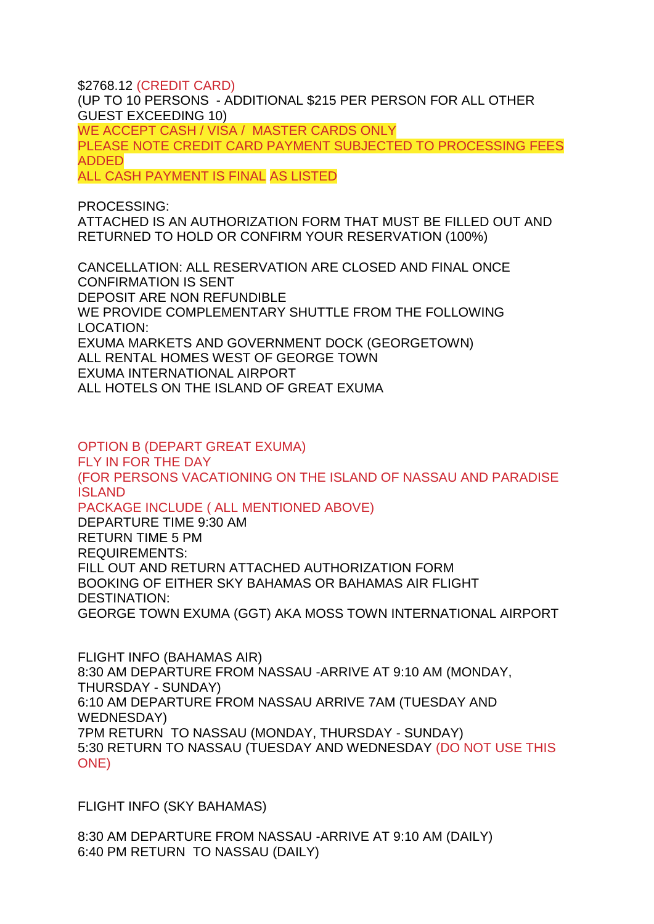\$2768.12 (CREDIT CARD)

(UP TO 10 PERSONS - ADDITIONAL \$215 PER PERSON FOR ALL OTHER GUEST EXCEEDING 10)

WE ACCEPT CASH / VISA / MASTER CARDS ONLY

PLEASE NOTE CREDIT CARD PAYMENT SUBJECTED TO PROCESSING FEES ADDED

ALL CASH PAYMENT IS FINAL AS LISTED

PROCESSING:

ATTACHED IS AN AUTHORIZATION FORM THAT MUST BE FILLED OUT AND RETURNED TO HOLD OR CONFIRM YOUR RESERVATION (100%)

CANCELLATION: ALL RESERVATION ARE CLOSED AND FINAL ONCE CONFIRMATION IS SENT DEPOSIT ARE NON REFUNDIBLE WE PROVIDE COMPLEMENTARY SHUTTLE FROM THE FOLLOWING LOCATION: EXUMA MARKETS AND GOVERNMENT DOCK (GEORGETOWN) ALL RENTAL HOMES WEST OF GEORGE TOWN EXUMA INTERNATIONAL AIRPORT ALL HOTELS ON THE ISLAND OF GREAT EXUMA

OPTION B (DEPART GREAT EXUMA) FLY IN FOR THE DAY (FOR PERSONS VACATIONING ON THE ISLAND OF NASSAU AND PARADISE ISLAND PACKAGE INCLUDE ( ALL MENTIONED ABOVE)

DEPARTURE TIME 9:30 AM RETURN TIME 5 PM REQUIREMENTS: FILL OUT AND RETURN ATTACHED AUTHORIZATION FORM BOOKING OF EITHER SKY BAHAMAS OR BAHAMAS AIR FLIGHT DESTINATION: GEORGE TOWN EXUMA (GGT) AKA MOSS TOWN INTERNATIONAL AIRPORT

FLIGHT INFO (BAHAMAS AIR) 8:30 AM DEPARTURE FROM NASSAU -ARRIVE AT 9:10 AM (MONDAY, THURSDAY - SUNDAY) 6:10 AM DEPARTURE FROM NASSAU ARRIVE 7AM (TUESDAY AND WEDNESDAY) 7PM RETURN TO NASSAU (MONDAY, THURSDAY - SUNDAY) 5:30 RETURN TO NASSAU (TUESDAY AND WEDNESDAY (DO NOT USE THIS ONE)

FLIGHT INFO (SKY BAHAMAS)

8:30 AM DEPARTURE FROM NASSAU -ARRIVE AT 9:10 AM (DAILY) 6:40 PM RETURN TO NASSAU (DAILY)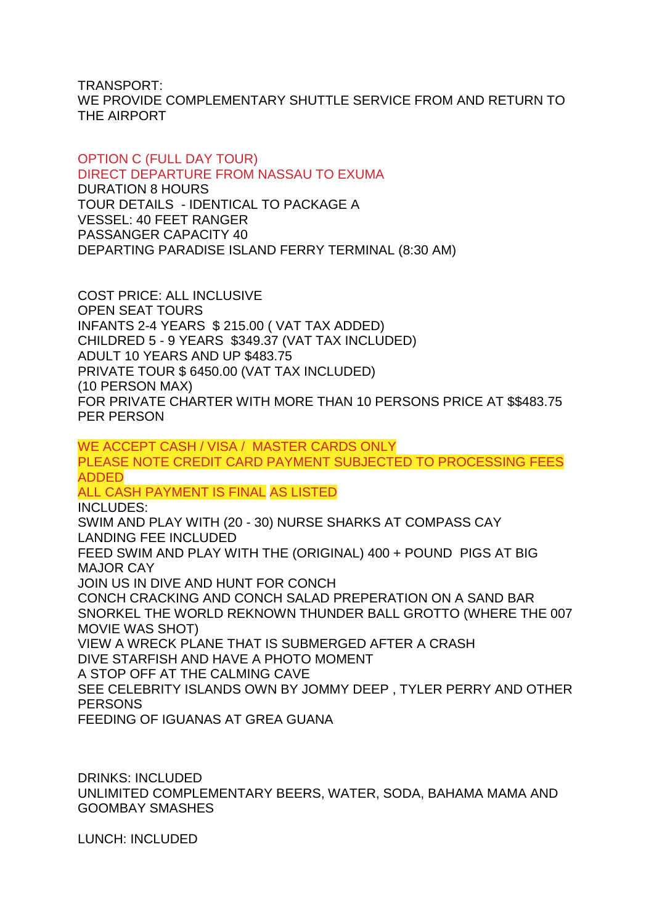TRANSPORT: WE PROVIDE COMPLEMENTARY SHUTTLE SERVICE FROM AND RETURN TO THE AIRPORT

OPTION C (FULL DAY TOUR) DIRECT DEPARTURE FROM NASSAU TO EXUMA DURATION 8 HOURS TOUR DETAILS - IDENTICAL TO PACKAGE A VESSEL: 40 FEET RANGER PASSANGER CAPACITY 40 DEPARTING PARADISE ISLAND FERRY TERMINAL (8:30 AM)

COST PRICE: ALL INCLUSIVE OPEN SEAT TOURS INFANTS 2-4 YEARS \$ 215.00 ( VAT TAX ADDED) CHILDRED 5 - 9 YEARS \$349.37 (VAT TAX INCLUDED) ADULT 10 YEARS AND UP \$483.75 PRIVATE TOUR \$ 6450.00 (VAT TAX INCLUDED) (10 PERSON MAX) FOR PRIVATE CHARTER WITH MORE THAN 10 PERSONS PRICE AT \$\$483.75 PER PERSON

WE ACCEPT CASH / VISA / MASTER CARDS ONLY PLEASE NOTE CREDIT CARD PAYMENT SUBJECTED TO PROCESSING FEES ADDED ALL CASH PAYMENT IS FINAL AS LISTED INCLUDES:

SWIM AND PLAY WITH (20 - 30) NURSE SHARKS AT COMPASS CAY LANDING FEE INCLUDED FEED SWIM AND PLAY WITH THE (ORIGINAL) 400 + POUND PIGS AT BIG MAJOR CAY JOIN US IN DIVE AND HUNT FOR CONCH CONCH CRACKING AND CONCH SALAD PREPERATION ON A SAND BAR SNORKEL THE WORLD REKNOWN THUNDER BALL GROTTO (WHERE THE 007 MOVIE WAS SHOT) VIEW A WRECK PLANE THAT IS SUBMERGED AFTER A CRASH DIVE STARFISH AND HAVE A PHOTO MOMENT A STOP OFF AT THE CALMING CAVE SEE CELEBRITY ISLANDS OWN BY JOMMY DEEP , TYLER PERRY AND OTHER PERSONS FEEDING OF IGUANAS AT GREA GUANA

DRINKS: INCLUDED UNLIMITED COMPLEMENTARY BEERS, WATER, SODA, BAHAMA MAMA AND GOOMBAY SMASHES

LUNCH: INCLUDED